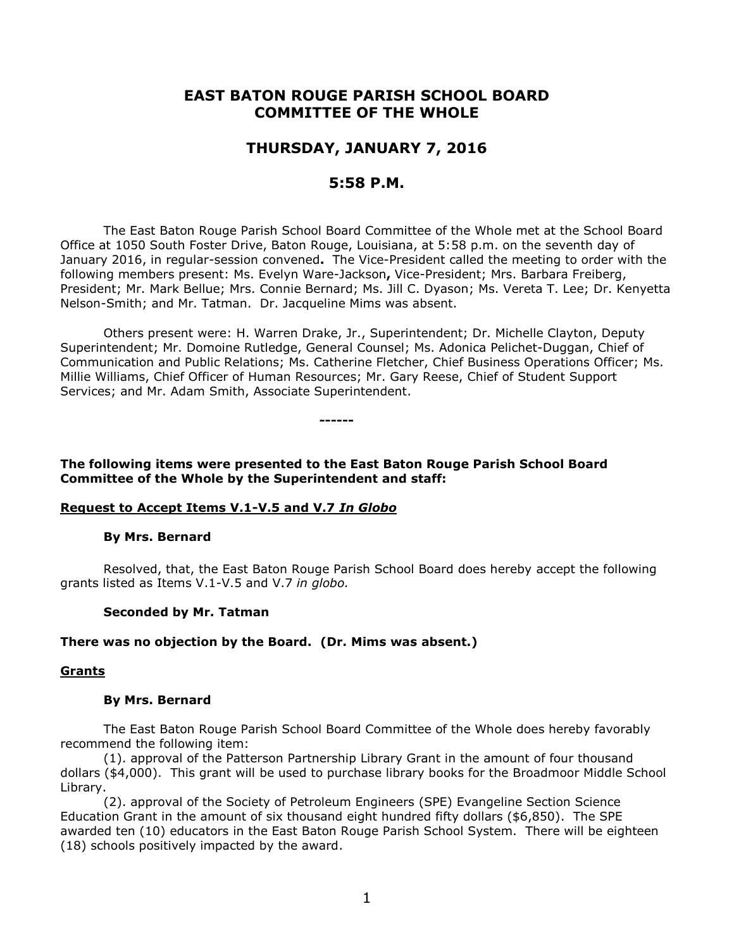# **EAST BATON ROUGE PARISH SCHOOL BOARD COMMITTEE OF THE WHOLE**

# **THURSDAY, JANUARY 7, 2016**

# **5:58 P.M.**

The East Baton Rouge Parish School Board Committee of the Whole met at the School Board Office at 1050 South Foster Drive, Baton Rouge, Louisiana, at 5:58 p.m. on the seventh day of January 2016, in regular-session convened**.** The Vice-President called the meeting to order with the following members present: Ms. Evelyn Ware-Jackson**,** Vice-President; Mrs. Barbara Freiberg, President; Mr. Mark Bellue; Mrs. Connie Bernard; Ms. Jill C. Dyason; Ms. Vereta T. Lee; Dr. Kenyetta Nelson-Smith; and Mr. Tatman. Dr. Jacqueline Mims was absent.

Others present were: H. Warren Drake, Jr., Superintendent; Dr. Michelle Clayton, Deputy Superintendent; Mr. Domoine Rutledge, General Counsel; Ms. Adonica Pelichet-Duggan, Chief of Communication and Public Relations; Ms. Catherine Fletcher, Chief Business Operations Officer; Ms. Millie Williams, Chief Officer of Human Resources; Mr. Gary Reese, Chief of Student Support Services; and Mr. Adam Smith, Associate Superintendent.

**------**

**The following items were presented to the East Baton Rouge Parish School Board Committee of the Whole by the Superintendent and staff:**

# **Request to Accept Items V.1-V.5 and V.7** *In Globo*

#### **By Mrs. Bernard**

Resolved, that, the East Baton Rouge Parish School Board does hereby accept the following grants listed as Items V.1-V.5 and V.7 *in globo.* 

#### **Seconded by Mr. Tatman**

#### **There was no objection by the Board. (Dr. Mims was absent.)**

#### **Grants**

#### **By Mrs. Bernard**

The East Baton Rouge Parish School Board Committee of the Whole does hereby favorably recommend the following item:

(1). approval of the Patterson Partnership Library Grant in the amount of four thousand dollars (\$4,000). This grant will be used to purchase library books for the Broadmoor Middle School Library.

(2). approval of the Society of Petroleum Engineers (SPE) Evangeline Section Science Education Grant in the amount of six thousand eight hundred fifty dollars (\$6,850). The SPE awarded ten (10) educators in the East Baton Rouge Parish School System. There will be eighteen (18) schools positively impacted by the award.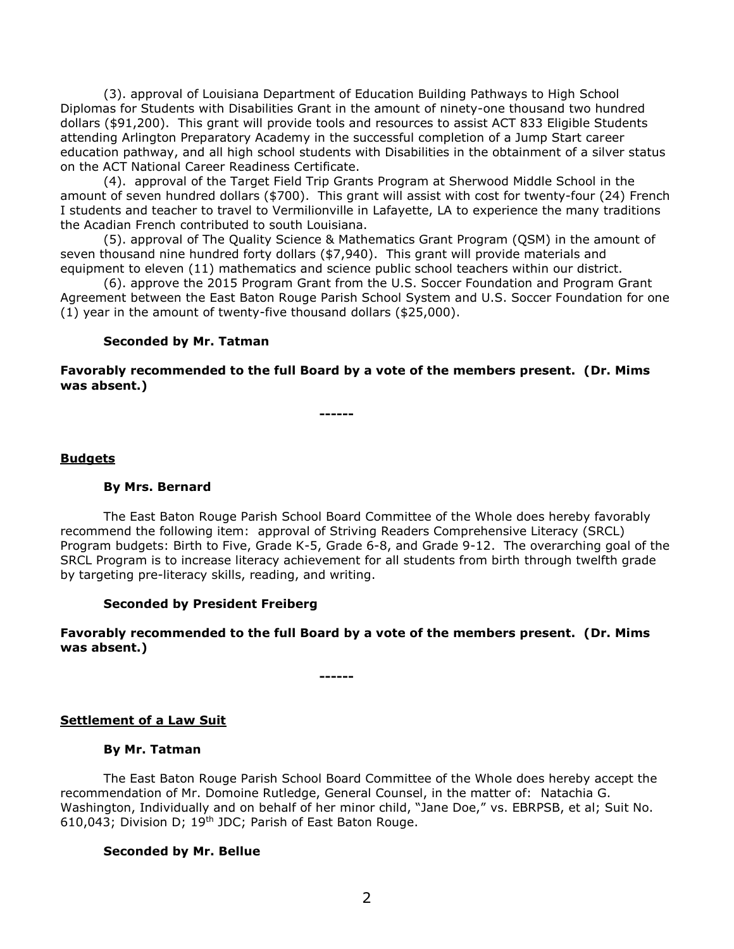(3). approval of Louisiana Department of Education Building Pathways to High School Diplomas for Students with Disabilities Grant in the amount of ninety-one thousand two hundred dollars (\$91,200). This grant will provide tools and resources to assist ACT 833 Eligible Students attending Arlington Preparatory Academy in the successful completion of a Jump Start career education pathway, and all high school students with Disabilities in the obtainment of a silver status on the ACT National Career Readiness Certificate.

(4). approval of the Target Field Trip Grants Program at Sherwood Middle School in the amount of seven hundred dollars (\$700). This grant will assist with cost for twenty-four (24) French I students and teacher to travel to Vermilionville in Lafayette, LA to experience the many traditions the Acadian French contributed to south Louisiana.

(5). approval of The Quality Science & Mathematics Grant Program (QSM) in the amount of seven thousand nine hundred forty dollars (\$7,940). This grant will provide materials and equipment to eleven (11) mathematics and science public school teachers within our district.

(6). approve the 2015 Program Grant from the U.S. Soccer Foundation and Program Grant Agreement between the East Baton Rouge Parish School System and U.S. Soccer Foundation for one (1) year in the amount of twenty-five thousand dollars (\$25,000).

### **Seconded by Mr. Tatman**

### **Favorably recommended to the full Board by a vote of the members present. (Dr. Mims was absent.)**

**------**

### **Budgets**

# **By Mrs. Bernard**

The East Baton Rouge Parish School Board Committee of the Whole does hereby favorably recommend the following item: approval of Striving Readers Comprehensive Literacy (SRCL) Program budgets: Birth to Five, Grade K-5, Grade 6-8, and Grade 9-12. The overarching goal of the SRCL Program is to increase literacy achievement for all students from birth through twelfth grade by targeting pre-literacy skills, reading, and writing.

# **Seconded by President Freiberg**

# **Favorably recommended to the full Board by a vote of the members present. (Dr. Mims was absent.)**

**------**

# **Settlement of a Law Suit**

#### **By Mr. Tatman**

The East Baton Rouge Parish School Board Committee of the Whole does hereby accept the recommendation of Mr. Domoine Rutledge, General Counsel, in the matter of: Natachia G. Washington, Individually and on behalf of her minor child, "Jane Doe," vs. EBRPSB, et al; Suit No. 610,043; Division D; 19th JDC; Parish of East Baton Rouge.

#### **Seconded by Mr. Bellue**